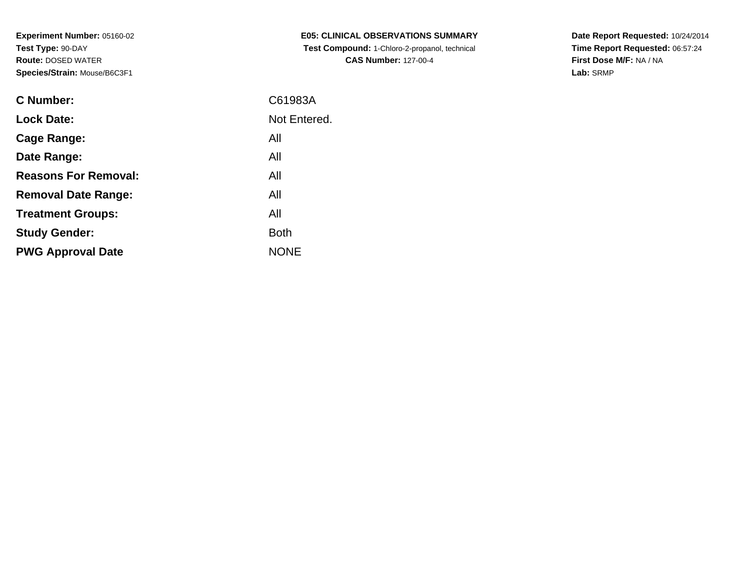| <b>C Number:</b>            | C61983A      |
|-----------------------------|--------------|
| <b>Lock Date:</b>           | Not Entered. |
| <b>Cage Range:</b>          | All          |
| Date Range:                 | All          |
| <b>Reasons For Removal:</b> | All          |
| <b>Removal Date Range:</b>  | All          |
| <b>Treatment Groups:</b>    | All          |
| <b>Study Gender:</b>        | <b>Both</b>  |
| <b>PWG Approval Date</b>    | <b>NONE</b>  |
|                             |              |

**E05: CLINICAL OBSERVATIONS SUMMARY Test Compound:** 1-Chloro-2-propanol, technical **CAS Number:** 127-00-4

**Date Report Requested:** 10/24/2014 **Time Report Requested:** 06:57:24**First Dose M/F:** NA / NA**Lab:** SRMP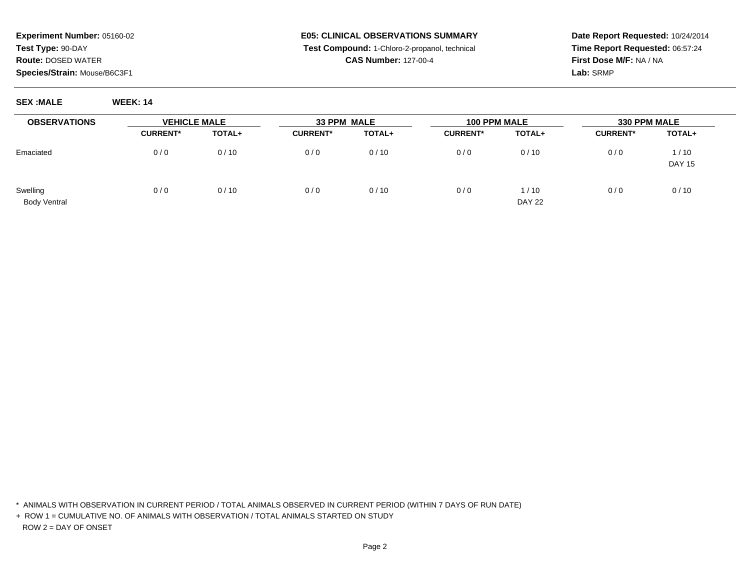#### **E05: CLINICAL OBSERVATIONS SUMMARY Test Compound:** 1-Chloro-2-propanol, technical **CAS Number:** 127-00-4

**Date Report Requested:** 10/24/2014**Time Report Requested:** 06:57:24**First Dose M/F:** NA / NA**Lab:** SRMP

**SEX :MALE WEEK: 14**

| <b>OBSERVATIONS</b>             | <b>VEHICLE MALE</b> |               | 33 PPM MALE     |        | 100 PPM MALE    |                         | <b>330 PPM MALE</b> |                       |
|---------------------------------|---------------------|---------------|-----------------|--------|-----------------|-------------------------|---------------------|-----------------------|
|                                 | <b>CURRENT*</b>     | <b>TOTAL+</b> | <b>CURRENT*</b> | TOTAL+ | <b>CURRENT*</b> | TOTAL+                  | <b>CURRENT*</b>     | TOTAL+                |
| Emaciated                       | 0/0                 | 0/10          | 0/0             | 0/10   | 0/0             | 0/10                    | 0/0                 | 1/10<br><b>DAY 15</b> |
| Swelling<br><b>Body Ventral</b> | 0/0                 | 0/10          | 0/0             | 0/10   | 0/0             | 1 / 10<br><b>DAY 22</b> | 0/0                 | 0/10                  |

\* ANIMALS WITH OBSERVATION IN CURRENT PERIOD / TOTAL ANIMALS OBSERVED IN CURRENT PERIOD (WITHIN 7 DAYS OF RUN DATE)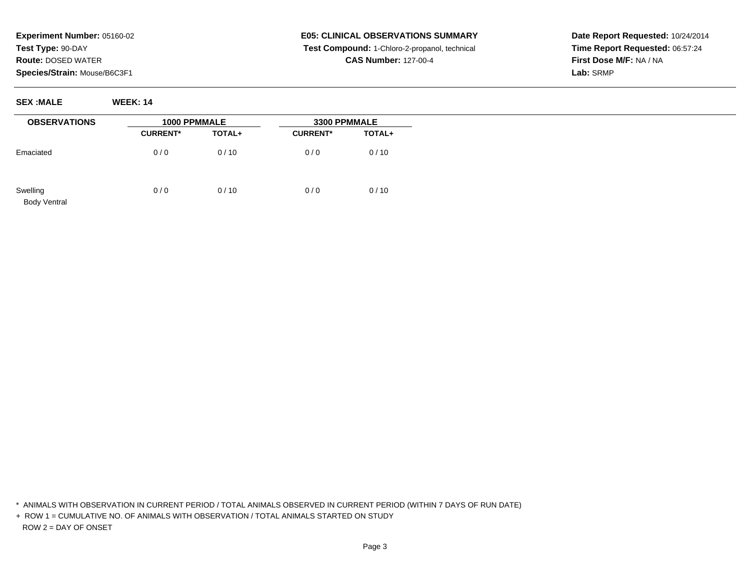**SEX :MALE WEEK: 14**

# **E05: CLINICAL OBSERVATIONS SUMMARY Test Compound:** 1-Chloro-2-propanol, technical **CAS Number:** 127-00-4

**Date Report Requested:** 10/24/2014**Time Report Requested:** 06:57:24**First Dose M/F:** NA / NA**Lab:** SRMP

| <b>OBSERVATIONS</b>             | 1000 PPMMALE    |        | 3300 PPMMALE    |        |
|---------------------------------|-----------------|--------|-----------------|--------|
|                                 | <b>CURRENT*</b> | TOTAL+ | <b>CURRENT*</b> | TOTAL+ |
| Emaciated                       | 0/0             | 0/10   | 0/0             | 0/10   |
| Swelling<br><b>Body Ventral</b> | 0/0             | 0/10   | 0/0             | 0/10   |

\* ANIMALS WITH OBSERVATION IN CURRENT PERIOD / TOTAL ANIMALS OBSERVED IN CURRENT PERIOD (WITHIN 7 DAYS OF RUN DATE)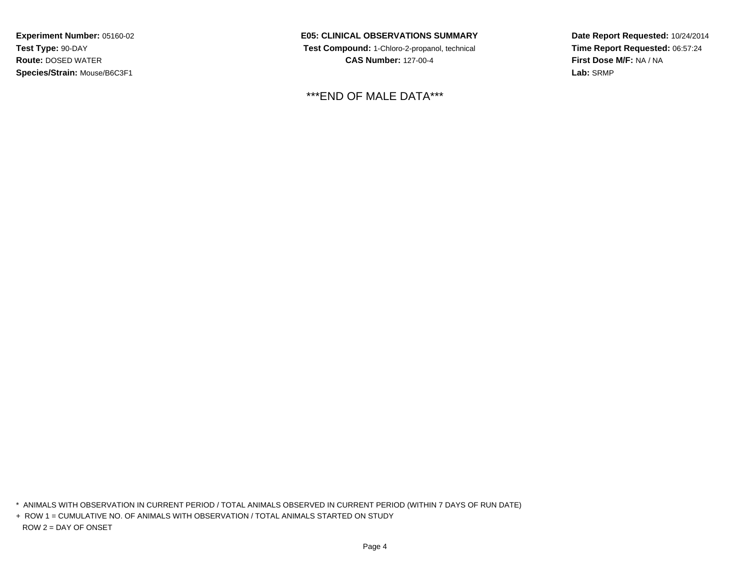**E05: CLINICAL OBSERVATIONS SUMMARY Test Compound:** 1-Chloro-2-propanol, technical **CAS Number:** 127-00-4

\*\*\*END OF MALE DATA\*\*\*

**Date Report Requested:** 10/24/2014**Time Report Requested:** 06:57:24**First Dose M/F:** NA / NA**Lab:** SRMP

\* ANIMALS WITH OBSERVATION IN CURRENT PERIOD / TOTAL ANIMALS OBSERVED IN CURRENT PERIOD (WITHIN 7 DAYS OF RUN DATE)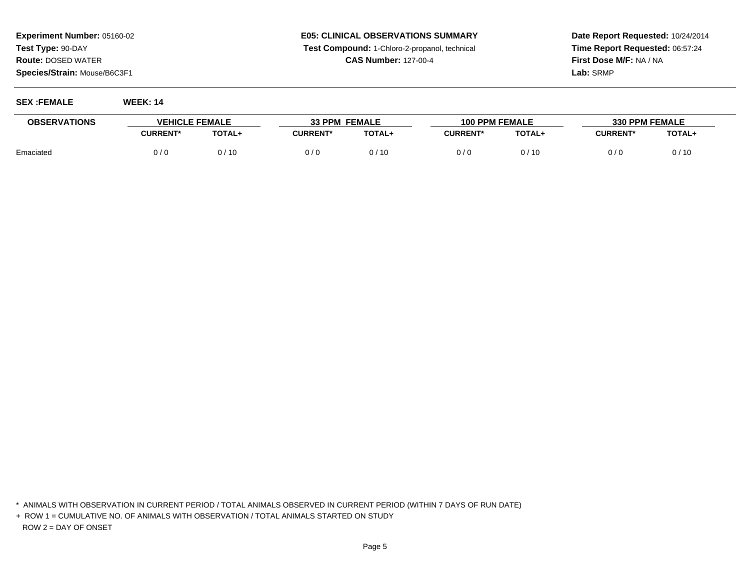### **E05: CLINICAL OBSERVATIONS SUMMARY Test Compound:** 1-Chloro-2-propanol, technical **CAS Number:** 127-00-4

**Date Report Requested:** 10/24/2014**Time Report Requested:** 06:57:24**First Dose M/F:** NA / NA**Lab:** SRMP

**SEX :FEMALE WEEK: 14**

| <b>OBSERVATIONS</b> | <b>VEHICLE FEMALE</b> |        | <b>33 PPM FEMALE</b> |               | <b>100 PPM FEMALE</b> |               | <b>330 PPM FEMALE</b> |               |
|---------------------|-----------------------|--------|----------------------|---------------|-----------------------|---------------|-----------------------|---------------|
|                     | <b>CURRENT*</b>       | TOTAL+ | <b>CURRENT*</b>      | <b>TOTAL+</b> | <b>CURRENT*</b>       | <b>TOTAL+</b> | <b>CURRENT*</b>       | <b>TOTAL+</b> |
| Emaciated           | 0 / 0                 | 0/10   | 0/0                  | 0 / 10        | 0/6                   | 0 / 10        | 0 / C                 | 0/10          |

\* ANIMALS WITH OBSERVATION IN CURRENT PERIOD / TOTAL ANIMALS OBSERVED IN CURRENT PERIOD (WITHIN 7 DAYS OF RUN DATE)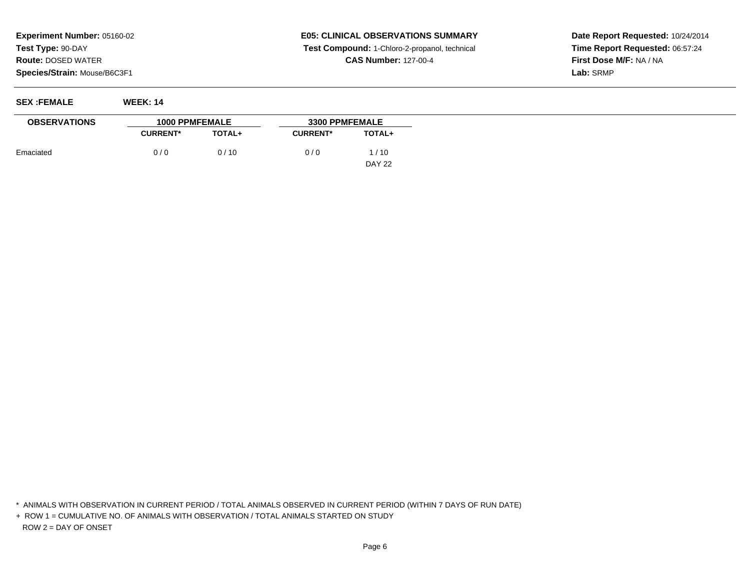# **E05: CLINICAL OBSERVATIONS SUMMARY Test Compound:** 1-Chloro-2-propanol, technical **CAS Number:** 127-00-4

**Date Report Requested:** 10/24/2014**Time Report Requested:** 06:57:24**First Dose M/F:** NA / NA**Lab:** SRMP

**SEX :FEMALE WEEK: 14**

| <b>OBSERVATIONS</b> | <b>1000 PPMFEMALE</b> |               | <b>3300 PPMFEMALE</b> |               |  |  |
|---------------------|-----------------------|---------------|-----------------------|---------------|--|--|
|                     | <b>CURRENT*</b>       | <b>TOTAL+</b> | <b>CURRENT*</b>       | <b>TOTAL+</b> |  |  |
| Emaciated           | 0/0                   | 0/10          | 0/0                   | 1/10          |  |  |
|                     |                       |               |                       | DAY 22        |  |  |

\* ANIMALS WITH OBSERVATION IN CURRENT PERIOD / TOTAL ANIMALS OBSERVED IN CURRENT PERIOD (WITHIN 7 DAYS OF RUN DATE)